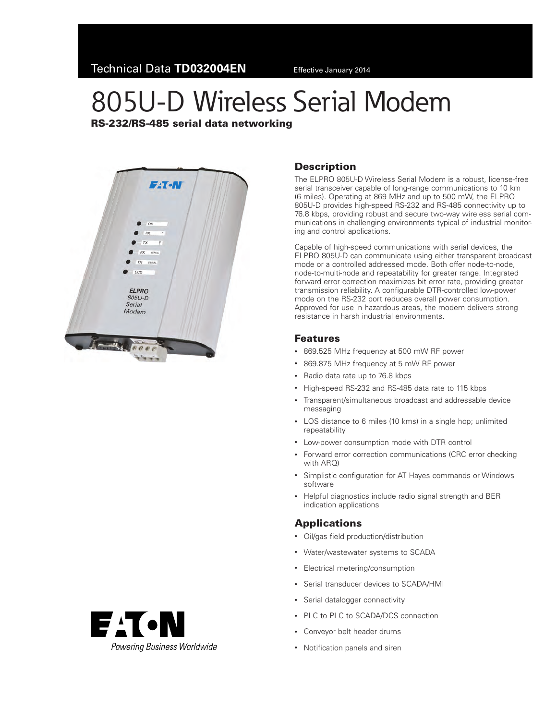# 805U-D Wireless Serial Modem

### RS-232/RS-485 serial data networking





#### **Description**

The ELPRO 805U-D Wireless Serial Modem is a robust, license-free serial transceiver capable of long-range communications to 10 km (6 miles). Operating at 869 MHz and up to 500 mW, the ELPRO 805U-D provides high-speed RS-232 and RS-485 connectivity up to 76.8 kbps, providing robust and secure two-way wireless serial communications in challenging environments typical of industrial monitoring and control applications.

Capable of high-speed communications with serial devices, the ELPRO 805U-D can communicate using either transparent broadcast mode or a controlled addressed mode. Both offer node-to-node, node-to-multi-node and repeatability for greater range. Integrated forward error correction maximizes bit error rate, providing greater transmission reliability. A configurable DTR-controlled low-power mode on the RS-232 port reduces overall power consumption. Approved for use in hazardous areas, the modem delivers strong resistance in harsh industrial environments.

#### Features

- 869.525 MHz frequency at 500 mW RF power
- • 869.875 MHz frequency at 5 mW RF power
- • Radio data rate up to 76.8 kbps
- High-speed RS-232 and RS-485 data rate to 115 kbps
- • Transparent/simultaneous broadcast and addressable device messaging
- LOS distance to 6 miles (10 kms) in a single hop; unlimited repeatability
- • Low-power consumption mode with DTR control
- Forward error correction communications (CRC error checking with ARO)
- • Simplistic configuration for AT Hayes commands or Windows software
- Helpful diagnostics include radio signal strength and BER indication applications

#### Applications

- Oil/gas field production/distribution
- • Water/wastewater systems to SCADA
- • Electrical metering/consumption
- • Serial transducer devices to SCADA/HMI
- • Serial datalogger connectivity
- PLC to PLC to SCADA/DCS connection
- • Conveyor belt header drums
- Notification panels and siren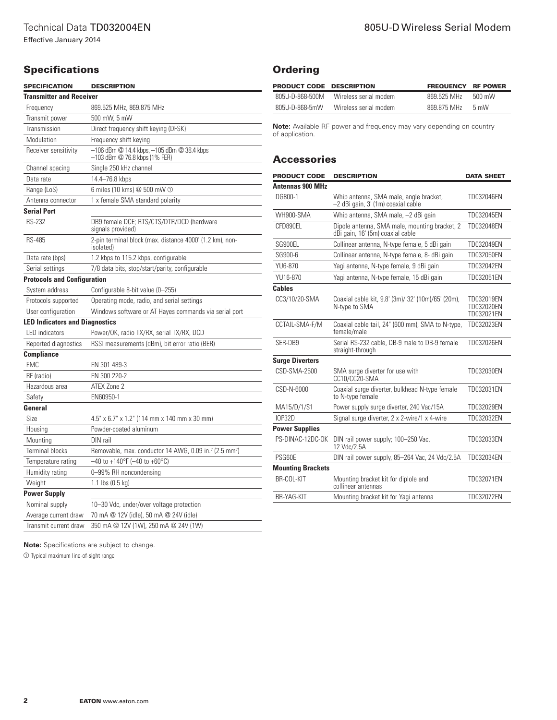# **Specifications**

| <b>SPECIFICATION</b>                  | <b>DESCRIPTION</b>                                                                      |  |  |
|---------------------------------------|-----------------------------------------------------------------------------------------|--|--|
| <b>Transmitter and Receiver</b>       |                                                                                         |  |  |
| Frequency                             | 869.525 MHz, 869.875 MHz                                                                |  |  |
| Transmit power                        | 500 mW, 5 mW                                                                            |  |  |
| Transmission                          | Direct frequency shift keying (DFSK)                                                    |  |  |
| Modulation                            | Frequency shift keying                                                                  |  |  |
| Receiver sensitivity                  | $-106$ dBm $@$ 14.4 kbps, $-105$ dBm $@$ 38.4 kbps<br>$-103$ dBm $@$ 76.8 kbps (1% FER) |  |  |
| Channel spacing                       | Single 250 kHz channel                                                                  |  |  |
| Data rate                             | 14.4–76.8 kbps                                                                          |  |  |
| Range (LoS)                           | 6 miles (10 kms) @ 500 mW ①                                                             |  |  |
| Antenna connector                     | 1 x female SMA standard polarity                                                        |  |  |
| <b>Serial Port</b>                    |                                                                                         |  |  |
| <b>RS-232</b>                         | DB9 female DCE; RTS/CTS/DTR/DCD (hardware<br>signals provided)                          |  |  |
| <b>RS-485</b>                         | 2-pin terminal block (max. distance 4000' (1.2 km), non-<br>isolated)                   |  |  |
| Data rate (bps)                       | 1.2 kbps to 115.2 kbps, configurable                                                    |  |  |
| Serial settings                       | 7/8 data bits, stop/start/parity, configurable                                          |  |  |
| <b>Protocols and Configuration</b>    |                                                                                         |  |  |
| System address                        | Configurable 8-bit value (0-255)                                                        |  |  |
| Protocols supported                   | Operating mode, radio, and serial settings                                              |  |  |
| User configuration                    | Windows software or AT Hayes commands via serial port                                   |  |  |
| <b>LED Indicators and Diagnostics</b> |                                                                                         |  |  |
| <b>LED</b> indicators                 | Power/OK, radio TX/RX, serial TX/RX, DCD                                                |  |  |
| Reported diagnostics                  | RSSI measurements (dBm), bit error ratio (BER)                                          |  |  |
| <b>Compliance</b>                     |                                                                                         |  |  |
| <b>EMC</b>                            | EN 301 489-3                                                                            |  |  |
| RF (radio)                            | EN 300 220-2                                                                            |  |  |
| Hazardous area                        | ATEX Zone 2                                                                             |  |  |
| Safety                                | EN60950-1                                                                               |  |  |
| General                               |                                                                                         |  |  |
| Size                                  | 4.5" x 6.7" x 1.2" (114 mm x 140 mm x 30 mm)                                            |  |  |
| Housing                               | Powder-coated aluminum                                                                  |  |  |
| Mounting                              | DIN rail                                                                                |  |  |
| Terminal blocks                       | Removable, max. conductor 14 AWG, 0.09 in. <sup>2</sup> (2.5 mm <sup>2</sup> )          |  |  |
| Temperature rating                    | $-40$ to +140°F (-40 to +60°C)                                                          |  |  |
| Humidity rating                       | 0-99% RH noncondensing                                                                  |  |  |
| Weight                                | 1.1 lbs (0.5 kg)                                                                        |  |  |
| <b>Power Supply</b>                   |                                                                                         |  |  |
| Nominal supply                        | 10-30 Vdc, under/over voltage protection                                                |  |  |
| Average current draw                  | 70 mA @ 12V (idle), 50 mA @ 24V (idle)                                                  |  |  |
| Transmit current draw                 | 350 mA @ 12V (1W), 250 mA @ 24V (1W)                                                    |  |  |

## **Ordering**

| PRODUCT CODE DESCRIPTION |                       | <b>FREQUENCY RF POWER</b> |                  |
|--------------------------|-----------------------|---------------------------|------------------|
| 805U-D-868-500M          | Wireless serial modem | 869 525 MHz               | $500 \text{ mW}$ |
| 805U-D-868-5mW           | Wireless serial modem | 869 875 MHz               | $5 \text{ mW}$   |

**Note:** Available RF power and frequency may vary depending on country of application.

#### **Accessories**

| <b>PRODUCT CODE</b>      | <b>DESCRIPTION</b>                                                                | <b>DATA SHEET</b>                      |
|--------------------------|-----------------------------------------------------------------------------------|----------------------------------------|
| <b>Antennas 900 MHz</b>  |                                                                                   |                                        |
| DG800-1                  | Whip antenna, SMA male, angle bracket,<br>-2 dBi gain, 3' (1m) coaxial cable      | TD032046EN                             |
| WH900-SMA                | Whip antenna, SMA male, -2 dBi gain                                               | TD032045EN                             |
| CFD890EL                 | Dipole antenna, SMA male, mounting bracket, 2<br>dBi gain, 16' (5m) coaxial cable | TD032048EN                             |
| SG900FL                  | Collinear antenna, N-type female, 5 dBi gain                                      | TD032049EN                             |
| SG900-6                  | Collinear antenna, N-type female, 8- dBi gain                                     | TD032050EN                             |
| YU6-870                  | Yagi antenna, N-type female, 9 dBi gain                                           | TD032042EN                             |
| YU16-870                 | Yagi antenna, N-type female, 15 dBi gain                                          | TD032051EN                             |
| Cables                   |                                                                                   |                                        |
| CC3/10/20-SMA            | Coaxial cable kit, 9.8' (3m)/ 32' (10m)/65' (20m),<br>N-type to SMA               | TD032019EN<br>TD032020FN<br>TD032021EN |
| CCTAIL-SMA-F/M           | Coaxial cable tail, 24" (600 mm), SMA to N-type,<br>female/male                   | TD032023EN                             |
| SER-DB9                  | Serial RS-232 cable, DB-9 male to DB-9 female<br>straight-through                 | TD032026EN                             |
| <b>Surge Diverters</b>   |                                                                                   |                                        |
| CSD-SMA-2500             | SMA surge diverter for use with<br>CC10/CC20-SMA                                  | TD032030EN                             |
| CSD-N-6000               | Coaxial surge diverter, bulkhead N-type female<br>to N-tvpe female                | TD032031EN                             |
| MA15/D/1/S1              | Power supply surge diverter, 240 Vac/15A                                          | TD032029EN                             |
| <b>IOP32D</b>            | Signal surge diverter, 2 x 2-wire/1 x 4-wire                                      | TD032032EN                             |
| <b>Power Supplies</b>    |                                                                                   |                                        |
| PS-DINAC-12DC-OK         | DIN rail power supply; 100-250 Vac,<br>12 Vdc/2.5A                                | TD032033EN                             |
| <b>PSG60E</b>            | DIN rail power supply, 85-264 Vac, 24 Vdc/2.5A                                    | TD032034EN                             |
| <b>Mounting Brackets</b> |                                                                                   |                                        |
| BR-COL-KIT               | Mounting bracket kit for diplole and<br>collinear antennas                        | TD032071EN                             |
| BR-YAG-KIT               | Mounting bracket kit for Yagi antenna                                             | TD032072EN                             |

**Note:** Specifications are subject to change.

 $\mathbb O$  Typical maximum line-of-sight range